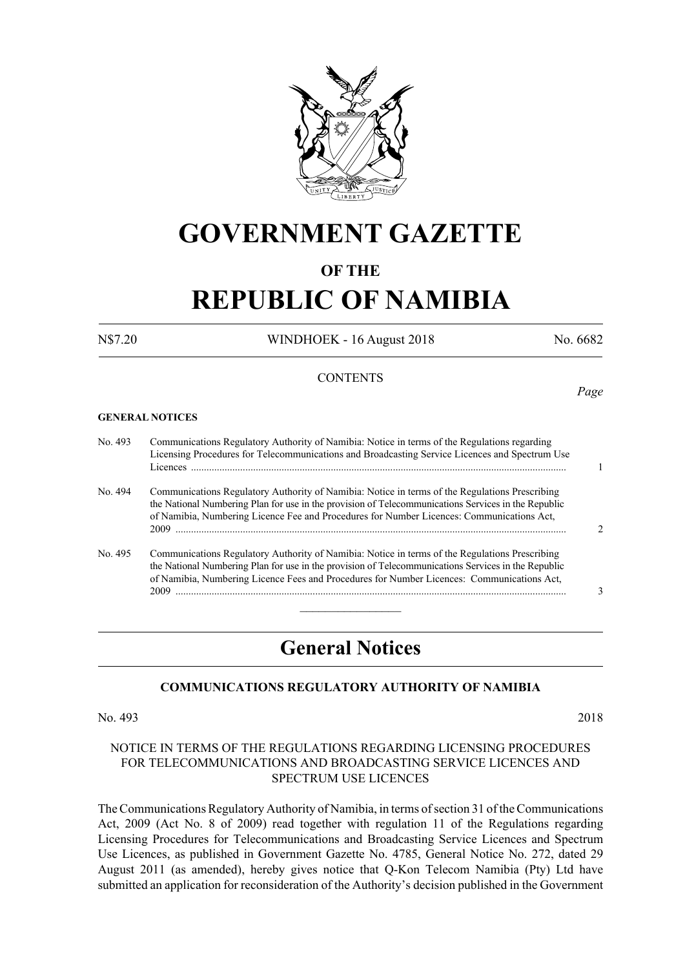

# **GOVERNMENT GAZETTE**

### **OF THE**

# **REPUBLIC OF NAMIBIA**

N\$7.20 WINDHOEK - 16 August 2018 No. 6682

#### **CONTENTS**

#### **GENERAL NOTICES**

No. 493 Communications Regulatory Authority of Namibia: Notice in terms of the Regulations regarding Licensing Procedures for Telecommunications and Broadcasting Service Licences and Spectrum Use Licences ................................................................................................................................................. 1 No. 494 Communications Regulatory Authority of Namibia: Notice in terms of the Regulations Prescribing the National Numbering Plan for use in the provision of Telecommunications Services in the Republic of Namibia, Numbering Licence Fee and Procedures for Number Licences: Communications Act, 2009 ....................................................................................................................................................... 2 No. 495 Communications Regulatory Authority of Namibia: Notice in terms of the Regulations Prescribing the National Numbering Plan for use in the provision of Telecommunications Services in the Republic of Namibia, Numbering Licence Fees and Procedures for Number Licences: Communications Act, 2009 ....................................................................................................................................................... 3  $\overline{\phantom{a}}$  , where  $\overline{\phantom{a}}$ 

## **General Notices**

#### **Communications Regulatory Authority of Namibia**

No. 493 2018

#### NOTICE IN TERMS OF THE REGULATIONS REGARDING LICENSING PROCEDURES FOR TELECOMMUNICATIONS AND BROADCASTING SERVICE LICENCES AND SPECTRUM USE LICENCES

The Communications Regulatory Authority of Namibia, in terms of section 31 of the Communications Act, 2009 (Act No. 8 of 2009) read together with regulation 11 of the Regulations regarding Licensing Procedures for Telecommunications and Broadcasting Service Licences and Spectrum Use Licences, as published in Government Gazette No. 4785, General Notice No. 272, dated 29 August 2011 (as amended), hereby gives notice that Q-Kon Telecom Namibia (Pty) Ltd have submitted an application for reconsideration of the Authority's decision published in the Government

*Page*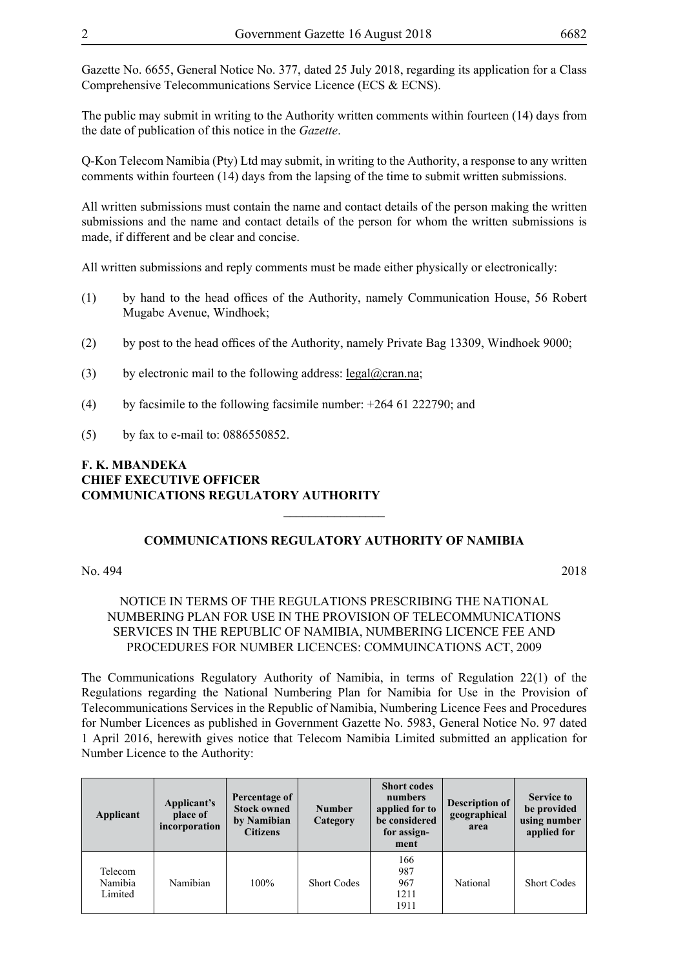Gazette No. 6655, General Notice No. 377, dated 25 July 2018, regarding its application for a Class Comprehensive Telecommunications Service Licence (ECS & ECNS).

The public may submit in writing to the Authority written comments within fourteen (14) days from the date of publication of this notice in the *Gazette*.

Q-Kon Telecom Namibia (Pty) Ltd may submit, in writing to the Authority, a response to any written comments within fourteen (14) days from the lapsing of the time to submit written submissions.

All written submissions must contain the name and contact details of the person making the written submissions and the name and contact details of the person for whom the written submissions is made, if different and be clear and concise.

All written submissions and reply comments must be made either physically or electronically:

- (1) by hand to the head offices of the Authority, namely Communication House, 56 Robert Mugabe Avenue, Windhoek;
- (2) by post to the head offices of the Authority, namely Private Bag 13309, Windhoek 9000;
- (3) by electronic mail to the following address: legal@cran.na;
- (4) by facsimile to the following facsimile number:  $+264$  61 222790; and
- (5) by fax to e-mail to: 0886550852.

#### **F. K. MBANDEKA CHIEF EXECUTIVE OFFICER COMMUNICATIONS REGULATORY AUTHORITY**

### **COMMUNICATIONS REGULATORY AUTHORITY OF NAMIBIA**

 $\frac{1}{2}$ 

#### No. 494 2018

### NOTICE IN TERMS OF THE REGULATIONS PRESCRIBING THE NATIONAL NUMBERING PLAN FOR USE IN THE PROVISION OF TELECOMMUNICATIONS SERVICES IN THE REPUBLIC OF NAMIBIA, NUMBERING LICENCE FEE AND PROCEDURES FOR NUMBER LICENCES: COMMUINCATIONS ACT, 2009

The Communications Regulatory Authority of Namibia, in terms of Regulation 22(1) of the Regulations regarding the National Numbering Plan for Namibia for Use in the Provision of Telecommunications Services in the Republic of Namibia, Numbering Licence Fees and Procedures for Number Licences as published in Government Gazette No. 5983, General Notice No. 97 dated 1 April 2016, herewith gives notice that Telecom Namibia Limited submitted an application for Number Licence to the Authority:

| Applicant                     | Applicant's<br>place of<br>incorporation | Percentage of<br><b>Stock owned</b><br>by Namibian<br><b>Citizens</b> | <b>Number</b><br>Category | <b>Short codes</b><br>numbers<br>applied for to<br>be considered<br>for assign-<br>ment | <b>Description of</b><br>geographical<br>area | <b>Service to</b><br>be provided<br>using number<br>applied for |
|-------------------------------|------------------------------------------|-----------------------------------------------------------------------|---------------------------|-----------------------------------------------------------------------------------------|-----------------------------------------------|-----------------------------------------------------------------|
| Telecom<br>Namibia<br>Limited | Namibian                                 | $100\%$                                                               | <b>Short Codes</b>        | 166<br>987<br>967<br>1211<br>1911                                                       | National                                      | <b>Short Codes</b>                                              |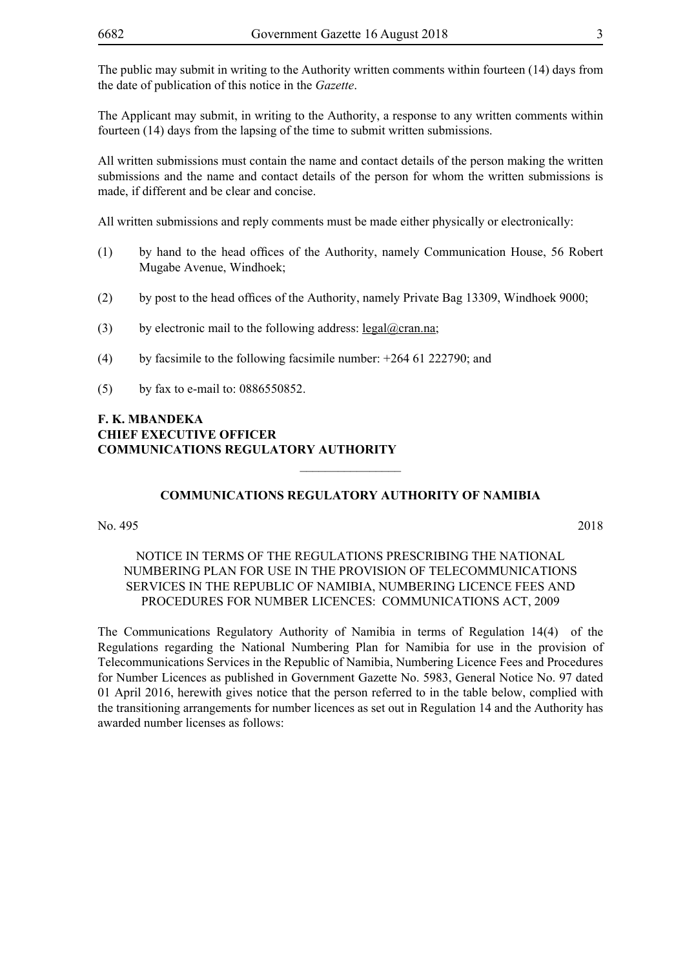The Applicant may submit, in writing to the Authority, a response to any written comments within fourteen (14) days from the lapsing of the time to submit written submissions.

All written submissions must contain the name and contact details of the person making the written submissions and the name and contact details of the person for whom the written submissions is made, if different and be clear and concise.

All written submissions and reply comments must be made either physically or electronically:

- (1) by hand to the head offices of the Authority, namely Communication House, 56 Robert Mugabe Avenue, Windhoek;
- (2) by post to the head offices of the Authority, namely Private Bag 13309, Windhoek 9000;
- (3) by electronic mail to the following address: legal@cran.na;
- (4) by facsimile to the following facsimile number: +264 61 222790; and
- (5) by fax to e-mail to: 0886550852.

#### **F. K. MBANDEKA CHIEF EXECUTIVE OFFICER COMMUNICATIONS REGULATORY AUTHORITY**

#### **COMMUNICATIONS REGULATORY AUTHORITY OF NAMIBIA**

 $\overline{\phantom{a}}$  , where  $\overline{\phantom{a}}$ 

No. 495 2018

#### NOTICE IN TERMS OF THE REGULATIONS PRESCRIBING THE NATIONAL NUMBERING PLAN FOR USE IN THE PROVISION OF TELECOMMUNICATIONS SERVICES IN THE REPUBLIC OF NAMIBIA, NUMBERING LICENCE FEES AND PROCEDURES FOR NUMBER LICENCES: COMMUNICATIONS ACT, 2009

The Communications Regulatory Authority of Namibia in terms of Regulation 14(4) of the Regulations regarding the National Numbering Plan for Namibia for use in the provision of Telecommunications Services in the Republic of Namibia, Numbering Licence Fees and Procedures for Number Licences as published in Government Gazette No. 5983, General Notice No. 97 dated 01 April 2016, herewith gives notice that the person referred to in the table below, complied with the transitioning arrangements for number licences as set out in Regulation 14 and the Authority has awarded number licenses as follows: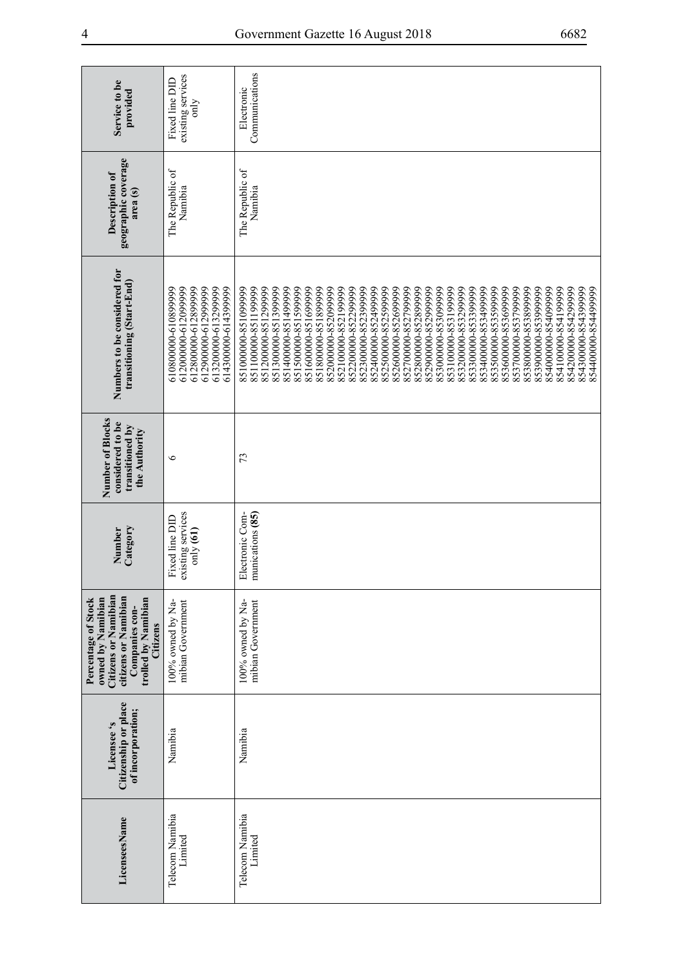| Service to be<br>provided                                                                                                                            | existing services<br>Fixed line DID<br>only                                                                                             | Communications<br>Electronic                                                                                                                                                                                                                                                                                                                                                                                                                                                                                                                                                                                                                                                                                                                                                               |
|------------------------------------------------------------------------------------------------------------------------------------------------------|-----------------------------------------------------------------------------------------------------------------------------------------|--------------------------------------------------------------------------------------------------------------------------------------------------------------------------------------------------------------------------------------------------------------------------------------------------------------------------------------------------------------------------------------------------------------------------------------------------------------------------------------------------------------------------------------------------------------------------------------------------------------------------------------------------------------------------------------------------------------------------------------------------------------------------------------------|
| geographic coverage<br>Description of<br>area <sub>(s)</sub>                                                                                         | The Republic of<br>Namibia                                                                                                              | The Republic of<br>Namibia                                                                                                                                                                                                                                                                                                                                                                                                                                                                                                                                                                                                                                                                                                                                                                 |
| Numbers to be considered for<br>transitioning (Start-End)                                                                                            | 612900000-612999999<br>612000000-612099999<br>612800000-612899999<br>613200000-613299999<br>614300000-6143999999<br>610800000-610899999 | 854100000-854199999<br>854200000-854299999<br>854300000-8543999999<br>851200000-851299999<br>851300000-851399999<br>851400000-1351499999<br>851500000-851599999<br>851600000-851699999<br>851800000-851899999<br>852000000-852099999<br>852100000-852199999<br>852200000-852299999<br>852300000-852399999<br>852400000-8524999999<br>852500000-852599999<br>852600000-852699999<br>852700000-8527999999<br>852800000-852899999<br>852900000-8529999999<br>853000000-853099999<br>853200000-853299999<br>853300000-853399999<br>853400000-8534999999<br>853500000-853599999<br>853600000-853699999<br>853700000-853799999<br>853800000-853899999<br>853900000-8539999999<br>85400000058-000005<br>8510000005851099999<br>851100000-851199999<br>853100000-853199999<br>854400000-8544999999 |
| Number of Blocks<br>considered to be<br>transitioned by<br>the Authority                                                                             | $\circ$                                                                                                                                 | 73                                                                                                                                                                                                                                                                                                                                                                                                                                                                                                                                                                                                                                                                                                                                                                                         |
| Category<br>Number                                                                                                                                   | existing services<br>Fixed line DID<br>$\text{only}$ (61)                                                                               | munications (85)<br>Electronic Com-                                                                                                                                                                                                                                                                                                                                                                                                                                                                                                                                                                                                                                                                                                                                                        |
| <b>Citizens or Namibian</b><br>citizens or Namibian<br>owned by Namibian<br>trolled by Namibian<br>Percentage of Stock<br>Companies con-<br>Citizens | 100% owned by Na-<br>mibian Government                                                                                                  | 100% owned by Na-<br>mibian Government                                                                                                                                                                                                                                                                                                                                                                                                                                                                                                                                                                                                                                                                                                                                                     |
| Citizenship or place<br>of incorporation;<br>Licensee's                                                                                              | Namibia                                                                                                                                 | Namibia                                                                                                                                                                                                                                                                                                                                                                                                                                                                                                                                                                                                                                                                                                                                                                                    |
| LicenseesName                                                                                                                                        | Telecom Namibia<br>Limited                                                                                                              | Telecom Namibia<br>Limited                                                                                                                                                                                                                                                                                                                                                                                                                                                                                                                                                                                                                                                                                                                                                                 |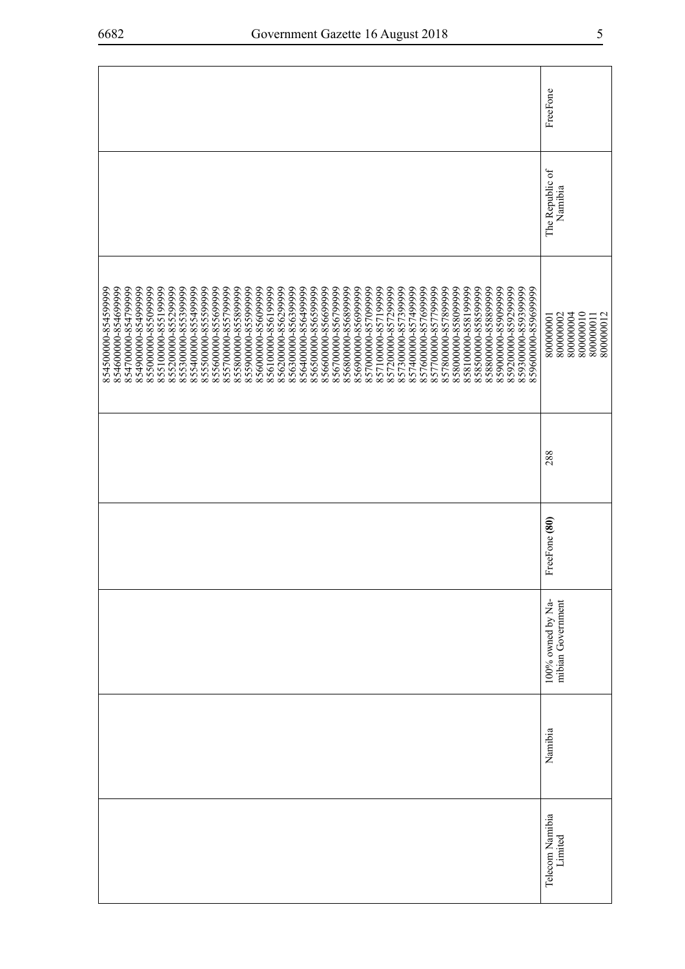|                                                                                                                                                                                                                                                                                                                                                                                                                                                                                                                                                                                                                                                                                                                                                                                                                                                                                                                                                           | FreeFone                                                                   |
|-----------------------------------------------------------------------------------------------------------------------------------------------------------------------------------------------------------------------------------------------------------------------------------------------------------------------------------------------------------------------------------------------------------------------------------------------------------------------------------------------------------------------------------------------------------------------------------------------------------------------------------------------------------------------------------------------------------------------------------------------------------------------------------------------------------------------------------------------------------------------------------------------------------------------------------------------------------|----------------------------------------------------------------------------|
|                                                                                                                                                                                                                                                                                                                                                                                                                                                                                                                                                                                                                                                                                                                                                                                                                                                                                                                                                           | The Republic of<br>Namibia                                                 |
| 856800000-856899999<br>857700000-857799999<br>85880000088999999<br>85900000-859099999<br>859200000-8592999999<br>854600000-854699999<br>854700000-8547999999<br>8549000008549999999<br>855000000-855099999<br>855100000-855199999<br>855200000-855299999<br>855300000-855399999<br>855400000-8554999999<br>855500000-855599999<br>855600000-855699999<br>855700000-8557999999<br>855800000-855899999<br>855900000-8559999999<br>856000000-856099999<br>856100000-856199999<br>856200000-856299999<br>856300000-8563999999<br>856400000-856499999<br>856500000-856599999<br>856600000-856699999<br>856700000-856799999<br>856900000-856999999<br>857000000-8570999999<br>857100000-857199999<br>857200000-857299999<br>857300000-8573999999<br>857400000574999999<br>857600000-857699999<br>857800000-857899999<br>858000000-858099999<br>858100000-858199999<br>858500000-858599999<br>859300000-859399999<br>859600000-859699999<br>854500000-8545999999 | 800000010<br>800000002<br>800000012<br>800000004<br>800000001<br>800000011 |
|                                                                                                                                                                                                                                                                                                                                                                                                                                                                                                                                                                                                                                                                                                                                                                                                                                                                                                                                                           | 288                                                                        |
|                                                                                                                                                                                                                                                                                                                                                                                                                                                                                                                                                                                                                                                                                                                                                                                                                                                                                                                                                           | FreeFone (80)                                                              |
|                                                                                                                                                                                                                                                                                                                                                                                                                                                                                                                                                                                                                                                                                                                                                                                                                                                                                                                                                           | 100% owned by Na-<br>mibian Government                                     |
|                                                                                                                                                                                                                                                                                                                                                                                                                                                                                                                                                                                                                                                                                                                                                                                                                                                                                                                                                           | Namibia                                                                    |
|                                                                                                                                                                                                                                                                                                                                                                                                                                                                                                                                                                                                                                                                                                                                                                                                                                                                                                                                                           | Telecom Namibia<br>Limited                                                 |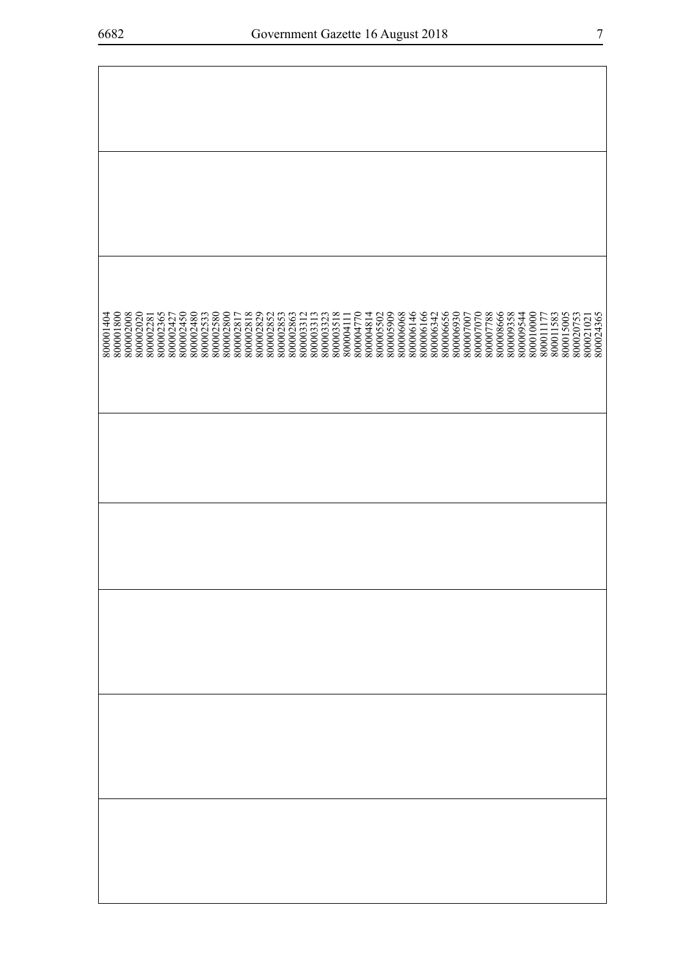| 800001404<br>800001800<br>8000002008 | 800002020 | 800002281<br>800002365 | 800002427<br>800002450 | 800002480<br>800002533<br>800002580 | $\begin{array}{c} 800002800 \\ 800002817 \\ 800002818 \end{array}$ |  | 800002829<br>800002852 | 800002853<br>800002863<br>800003312 |  | 800003313<br>800003323<br>800003518 | 800004111<br>800004770 | 800004814<br>800005502<br>800005909 |  | 800006068<br>800006146 | 800006166<br>800006342<br>800006656 |  | $\begin{array}{c} 800006930 \\ 800007007 \\ 800007007 \end{array}$ |  | 800007788<br>800008666 | 800009358<br>800009544 | 800010000 | 80001177 | 800011583<br>800015005 | 800020753 | 800021021<br>800024365 |  |
|--------------------------------------|-----------|------------------------|------------------------|-------------------------------------|--------------------------------------------------------------------|--|------------------------|-------------------------------------|--|-------------------------------------|------------------------|-------------------------------------|--|------------------------|-------------------------------------|--|--------------------------------------------------------------------|--|------------------------|------------------------|-----------|----------|------------------------|-----------|------------------------|--|
|                                      |           |                        |                        |                                     |                                                                    |  |                        |                                     |  |                                     |                        |                                     |  |                        |                                     |  |                                                                    |  |                        |                        |           |          |                        |           |                        |  |
|                                      |           |                        |                        |                                     |                                                                    |  |                        |                                     |  |                                     |                        |                                     |  |                        |                                     |  |                                                                    |  |                        |                        |           |          |                        |           |                        |  |
|                                      |           |                        |                        |                                     |                                                                    |  |                        |                                     |  |                                     |                        |                                     |  |                        |                                     |  |                                                                    |  |                        |                        |           |          |                        |           |                        |  |
|                                      |           |                        |                        |                                     |                                                                    |  |                        |                                     |  |                                     |                        |                                     |  |                        |                                     |  |                                                                    |  |                        |                        |           |          |                        |           |                        |  |
|                                      |           |                        |                        |                                     |                                                                    |  |                        |                                     |  |                                     |                        |                                     |  |                        |                                     |  |                                                                    |  |                        |                        |           |          |                        |           |                        |  |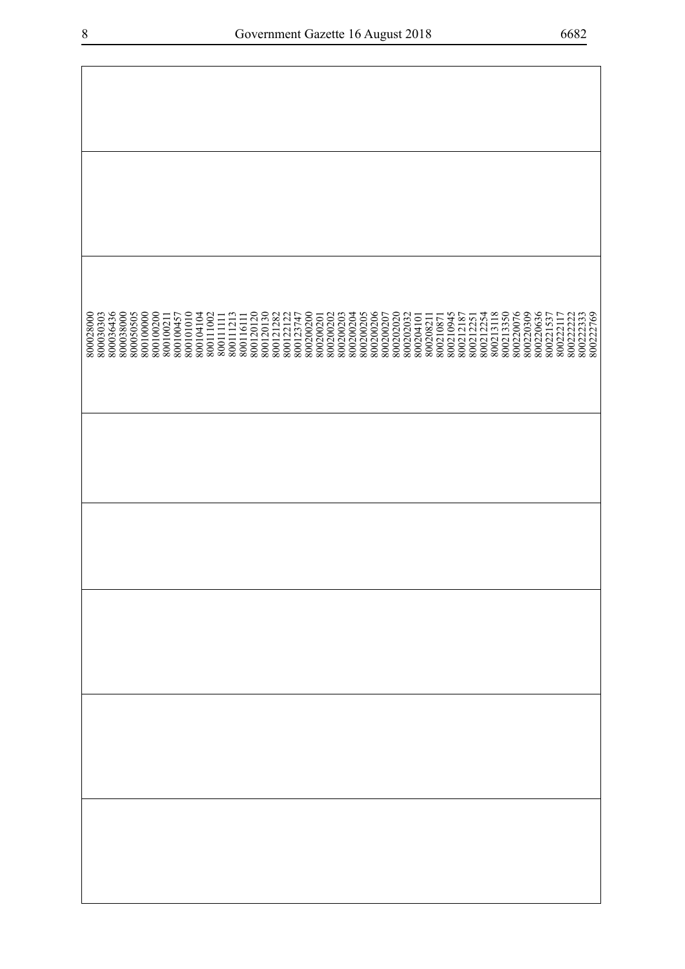| 800036436<br>800038000<br>800028000<br>800030303<br>800050505<br>800100000<br>800100200 | 800104104<br>800120120<br>800120130<br>800121282<br>800100457<br>800101010<br>$800111002800111111$<br>800111213<br>800100211<br>800116111 | 800200206<br>800200200<br>800200202<br>800200203<br>800200204<br>800200205<br>800200207<br>800202020<br>800202032<br>800122122<br>800123747<br>800200201<br>800204101 | 800213350<br>800220076<br>800220636<br>800222333<br>800222769<br>800220309<br>800210945<br>800212254<br>800213118<br>800221537<br>800212187<br>800222117<br>800222222<br>800212251<br>800208211<br>800210871 |
|-----------------------------------------------------------------------------------------|-------------------------------------------------------------------------------------------------------------------------------------------|-----------------------------------------------------------------------------------------------------------------------------------------------------------------------|--------------------------------------------------------------------------------------------------------------------------------------------------------------------------------------------------------------|
|                                                                                         |                                                                                                                                           |                                                                                                                                                                       |                                                                                                                                                                                                              |
|                                                                                         |                                                                                                                                           |                                                                                                                                                                       |                                                                                                                                                                                                              |
|                                                                                         |                                                                                                                                           |                                                                                                                                                                       |                                                                                                                                                                                                              |
|                                                                                         |                                                                                                                                           |                                                                                                                                                                       |                                                                                                                                                                                                              |
|                                                                                         |                                                                                                                                           |                                                                                                                                                                       |                                                                                                                                                                                                              |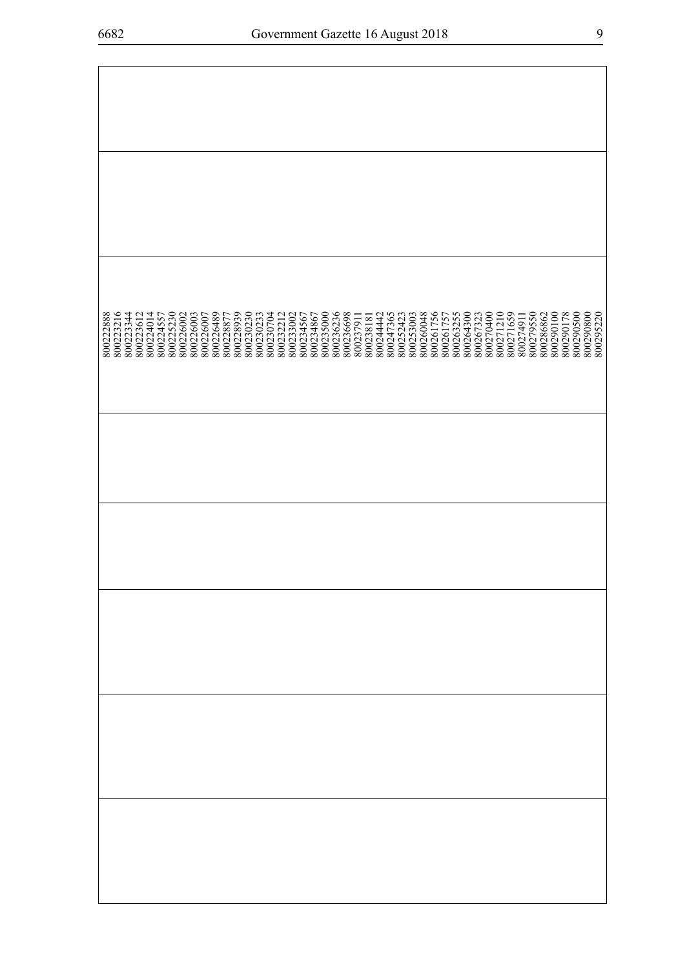| 800222888<br>800223216<br>800223344 | 800223612<br>800224014 | 800224557<br>800225230 | 800226002 | 800226003<br>800226007 | 800226489 | 800228877 | 800228939<br>800230230 | 800230233<br>800230704 | 800232212 | 800233002 | 800234567 | 800234867 | 800235000 | 800236236 | 800236698 | 800237911 | 800238181 | 800244442 | 800247365 | 800252423 | 800253003 | 800260048 | 800261756<br>800261757<br>800263255<br>800264300 | 800267323 | 800270400 | 800271210 | 800271659 | 800274911 | 800279550 | 800286862 | 800290100 | 800290178 | 800290500 | 800290800<br>800295220 |  |
|-------------------------------------|------------------------|------------------------|-----------|------------------------|-----------|-----------|------------------------|------------------------|-----------|-----------|-----------|-----------|-----------|-----------|-----------|-----------|-----------|-----------|-----------|-----------|-----------|-----------|--------------------------------------------------|-----------|-----------|-----------|-----------|-----------|-----------|-----------|-----------|-----------|-----------|------------------------|--|
|                                     |                        |                        |           |                        |           |           |                        |                        |           |           |           |           |           |           |           |           |           |           |           |           |           |           |                                                  |           |           |           |           |           |           |           |           |           |           |                        |  |
|                                     |                        |                        |           |                        |           |           |                        |                        |           |           |           |           |           |           |           |           |           |           |           |           |           |           |                                                  |           |           |           |           |           |           |           |           |           |           |                        |  |
|                                     |                        |                        |           |                        |           |           |                        |                        |           |           |           |           |           |           |           |           |           |           |           |           |           |           |                                                  |           |           |           |           |           |           |           |           |           |           |                        |  |
|                                     |                        |                        |           |                        |           |           |                        |                        |           |           |           |           |           |           |           |           |           |           |           |           |           |           |                                                  |           |           |           |           |           |           |           |           |           |           |                        |  |
|                                     |                        |                        |           |                        |           |           |                        |                        |           |           |           |           |           |           |           |           |           |           |           |           |           |           |                                                  |           |           |           |           |           |           |           |           |           |           |                        |  |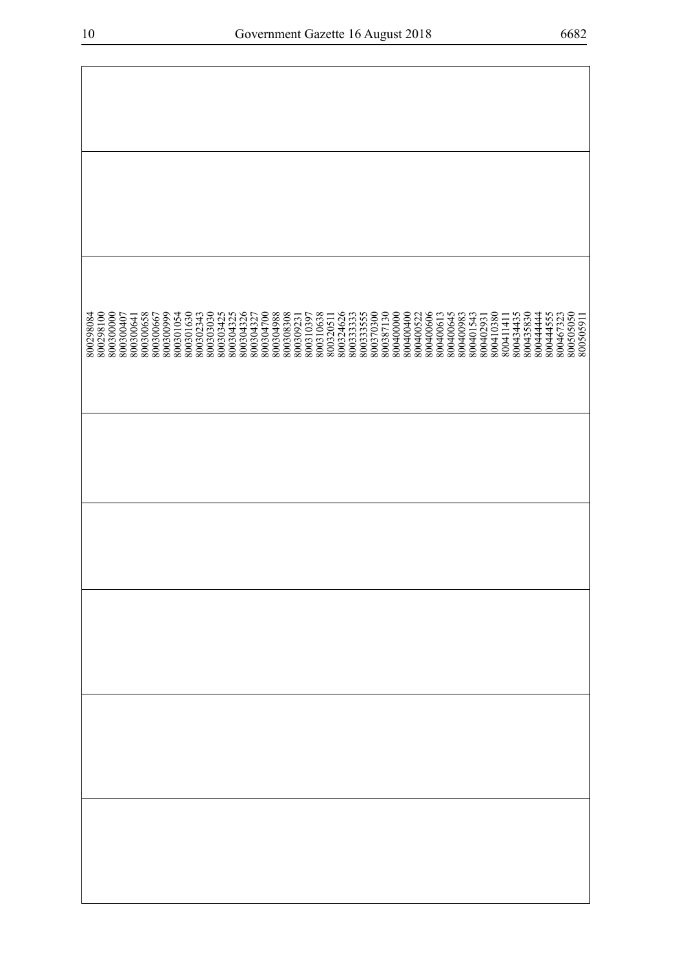| 800304326<br>800304327<br>800304700<br>800304988<br>800308308<br>800320511<br>800324626<br>800387130<br>800400000<br>800402931<br>800410380<br>800300658<br>800301054<br>800301630<br>800302343<br>800303030<br>800303425<br>800304325<br>800310638<br>80033333<br>800333555<br>800370300<br>800400400<br>800400522<br>800400606<br>800400645<br>800401543<br>800434435<br>800435830<br>800444444<br>800444555<br>800467323<br>800505050<br>800505911<br>800300000<br>800300999<br>800400613<br>800400983<br>800298084<br>800298100<br>800300407<br>800300667<br>800310397<br>800309231<br>800411411<br>800300641 |  |  |  |  |  |  |  |  |  |  |  |  |  |  |  |  |  |  |
|-------------------------------------------------------------------------------------------------------------------------------------------------------------------------------------------------------------------------------------------------------------------------------------------------------------------------------------------------------------------------------------------------------------------------------------------------------------------------------------------------------------------------------------------------------------------------------------------------------------------|--|--|--|--|--|--|--|--|--|--|--|--|--|--|--|--|--|--|
|                                                                                                                                                                                                                                                                                                                                                                                                                                                                                                                                                                                                                   |  |  |  |  |  |  |  |  |  |  |  |  |  |  |  |  |  |  |
|                                                                                                                                                                                                                                                                                                                                                                                                                                                                                                                                                                                                                   |  |  |  |  |  |  |  |  |  |  |  |  |  |  |  |  |  |  |
|                                                                                                                                                                                                                                                                                                                                                                                                                                                                                                                                                                                                                   |  |  |  |  |  |  |  |  |  |  |  |  |  |  |  |  |  |  |
|                                                                                                                                                                                                                                                                                                                                                                                                                                                                                                                                                                                                                   |  |  |  |  |  |  |  |  |  |  |  |  |  |  |  |  |  |  |
|                                                                                                                                                                                                                                                                                                                                                                                                                                                                                                                                                                                                                   |  |  |  |  |  |  |  |  |  |  |  |  |  |  |  |  |  |  |
|                                                                                                                                                                                                                                                                                                                                                                                                                                                                                                                                                                                                                   |  |  |  |  |  |  |  |  |  |  |  |  |  |  |  |  |  |  |
|                                                                                                                                                                                                                                                                                                                                                                                                                                                                                                                                                                                                                   |  |  |  |  |  |  |  |  |  |  |  |  |  |  |  |  |  |  |
|                                                                                                                                                                                                                                                                                                                                                                                                                                                                                                                                                                                                                   |  |  |  |  |  |  |  |  |  |  |  |  |  |  |  |  |  |  |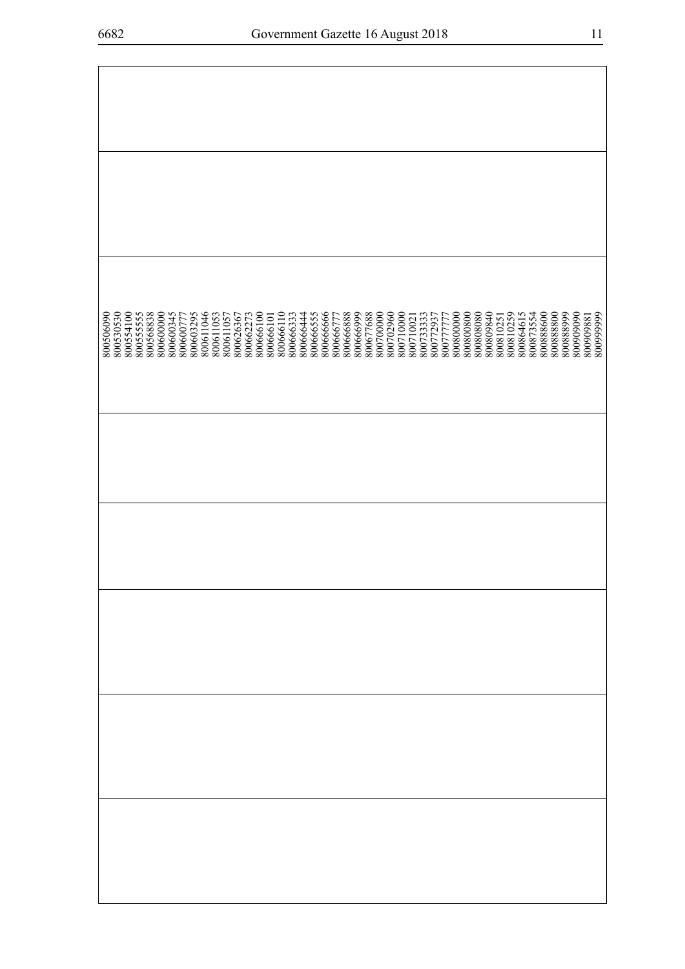| 800506090 | 800530530 | 800554100<br>800555555 | 800568838 | 800600000 | 800600345 | 800600777 | 800603295 | 800611046 | 800611053 | 800611057 | 800626367 | 800662273 | 800666100 | 800666101 | 800666110 | 800666333 | 800666444 | 800666555 | 800666666 | 800666777 | 800666888 | 800666999 | 800677688 | 800700000 | 800702960 | 800710000<br>800710021 | 800733333 | 800772937<br>800777777 | 80080000 | 800800800 | 800808080 | 800809840 | 800810251 | 800810259 | 800864615 | 800873554 | 800888600 | 80088800 | 800888999 | 800909090 | 800909881 | 80099999 |
|-----------|-----------|------------------------|-----------|-----------|-----------|-----------|-----------|-----------|-----------|-----------|-----------|-----------|-----------|-----------|-----------|-----------|-----------|-----------|-----------|-----------|-----------|-----------|-----------|-----------|-----------|------------------------|-----------|------------------------|----------|-----------|-----------|-----------|-----------|-----------|-----------|-----------|-----------|----------|-----------|-----------|-----------|----------|
|           |           |                        |           |           |           |           |           |           |           |           |           |           |           |           |           |           |           |           |           |           |           |           |           |           |           |                        |           |                        |          |           |           |           |           |           |           |           |           |          |           |           |           |          |
|           |           |                        |           |           |           |           |           |           |           |           |           |           |           |           |           |           |           |           |           |           |           |           |           |           |           |                        |           |                        |          |           |           |           |           |           |           |           |           |          |           |           |           |          |
|           |           |                        |           |           |           |           |           |           |           |           |           |           |           |           |           |           |           |           |           |           |           |           |           |           |           |                        |           |                        |          |           |           |           |           |           |           |           |           |          |           |           |           |          |
|           |           |                        |           |           |           |           |           |           |           |           |           |           |           |           |           |           |           |           |           |           |           |           |           |           |           |                        |           |                        |          |           |           |           |           |           |           |           |           |          |           |           |           |          |
|           |           |                        |           |           |           |           |           |           |           |           |           |           |           |           |           |           |           |           |           |           |           |           |           |           |           |                        |           |                        |          |           |           |           |           |           |           |           |           |          |           |           |           |          |